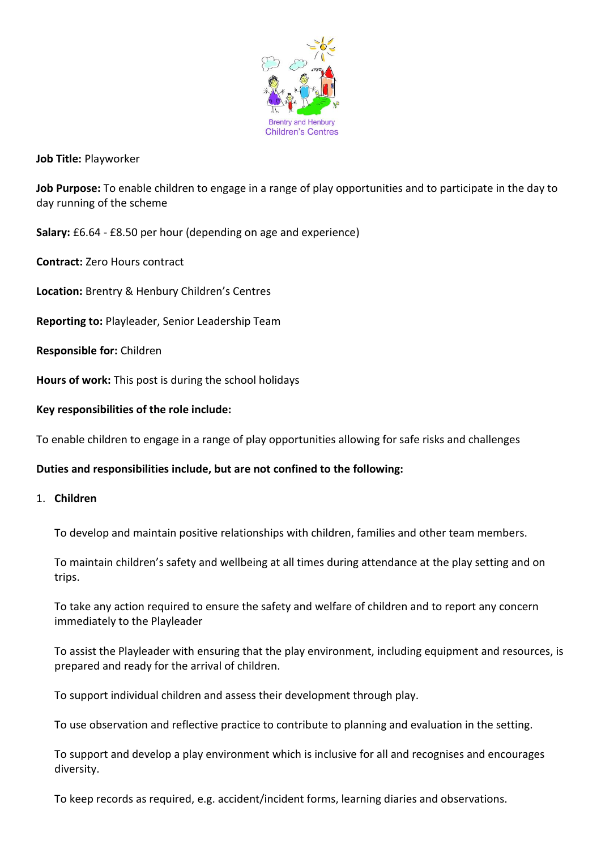

# **Job Title:** Playworker

**Job Purpose:** To enable children to engage in a range of play opportunities and to participate in the day to day running of the scheme

**Salary:** £6.64 - £8.50 per hour (depending on age and experience)

**Contract:** Zero Hours contract

**Location:** Brentry & Henbury Children's Centres

**Reporting to:** Playleader, Senior Leadership Team

**Responsible for:** Children

**Hours of work:** This post is during the school holidays

## **Key responsibilities of the role include:**

To enable children to engage in a range of play opportunities allowing for safe risks and challenges

### **Duties and responsibilities include, but are not confined to the following:**

### 1. **Children**

To develop and maintain positive relationships with children, families and other team members.

To maintain children's safety and wellbeing at all times during attendance at the play setting and on trips.

To take any action required to ensure the safety and welfare of children and to report any concern immediately to the Playleader

To assist the Playleader with ensuring that the play environment, including equipment and resources, is prepared and ready for the arrival of children.

To support individual children and assess their development through play.

To use observation and reflective practice to contribute to planning and evaluation in the setting.

To support and develop a play environment which is inclusive for all and recognises and encourages diversity.

To keep records as required, e.g. accident/incident forms, learning diaries and observations.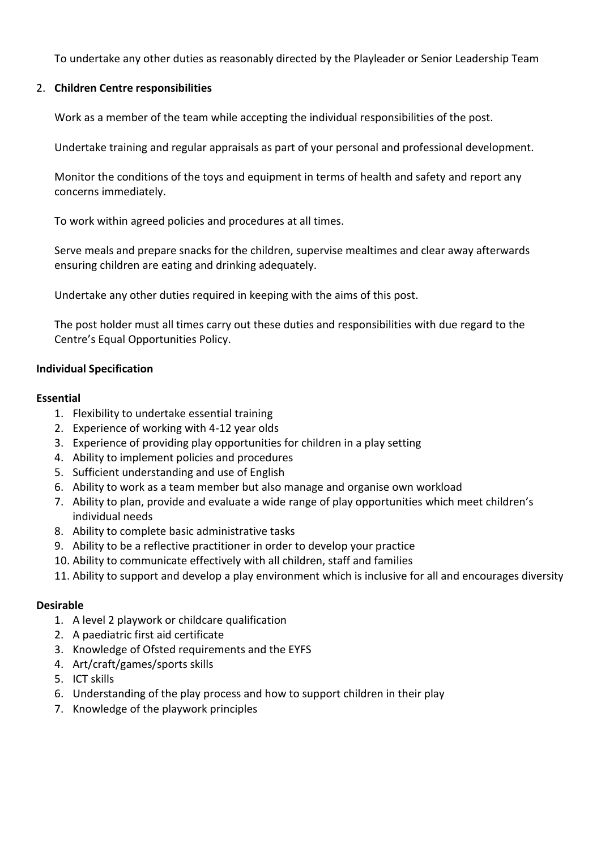To undertake any other duties as reasonably directed by the Playleader or Senior Leadership Team

## 2. **Children Centre responsibilities**

Work as a member of the team while accepting the individual responsibilities of the post.

Undertake training and regular appraisals as part of your personal and professional development.

Monitor the conditions of the toys and equipment in terms of health and safety and report any concerns immediately.

To work within agreed policies and procedures at all times.

Serve meals and prepare snacks for the children, supervise mealtimes and clear away afterwards ensuring children are eating and drinking adequately.

Undertake any other duties required in keeping with the aims of this post.

The post holder must all times carry out these duties and responsibilities with due regard to the Centre's Equal Opportunities Policy.

## **Individual Specification**

### **Essential**

- 1. Flexibility to undertake essential training
- 2. Experience of working with 4-12 year olds
- 3. Experience of providing play opportunities for children in a play setting
- 4. Ability to implement policies and procedures
- 5. Sufficient understanding and use of English
- 6. Ability to work as a team member but also manage and organise own workload
- 7. Ability to plan, provide and evaluate a wide range of play opportunities which meet children's individual needs
- 8. Ability to complete basic administrative tasks
- 9. Ability to be a reflective practitioner in order to develop your practice
- 10. Ability to communicate effectively with all children, staff and families
- 11. Ability to support and develop a play environment which is inclusive for all and encourages diversity

### **Desirable**

- 1. A level 2 playwork or childcare qualification
- 2. A paediatric first aid certificate
- 3. Knowledge of Ofsted requirements and the EYFS
- 4. Art/craft/games/sports skills
- 5. ICT skills
- 6. Understanding of the play process and how to support children in their play
- 7. Knowledge of the playwork principles